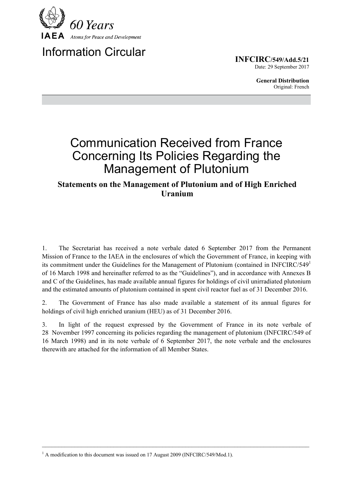

# Information Circular

**INFCIRC/549/Add.5/21** Date: 29 September 2017

> **General Distribution** Original: French

# Communication Received from France Concerning Its Policies Regarding the Management of Plutonium

# **Statements on the Management of Plutonium and of High Enriched Uranium**

1. The Secretariat has received a note verbale dated 6 September 2017 from the Permanent Mission of France to the IAEA in the enclosures of which the Government of France, in keeping with its commitment under the Guidelines for the Management of Plutonium (contained in INFCIRC/549 $^1$ of 16 March 1998 and hereinafter referred to as the "Guidelines"), and in accordance with Annexes B and C of the Guidelines, has made available annual figures for holdings of civil unirradiated plutonium and the estimated amounts of plutonium contained in spent civil reactor fuel as of 31 December 2016.

2. The Government of France has also made available a statement of its annual figures for holdings of civil high enriched uranium (HEU) as of 31 December 2016.

3. In light of the request expressed by the Government of France in its note verbale of 28 November 1997 concerning its policies regarding the management of plutonium (INFCIRC/549 of 16 March 1998) and in its note verbale of 6 September 2017, the note verbale and the enclosures therewith are attached for the information of all Member States.

 $\mathcal{L}_\mathcal{L} = \{ \mathcal{L}_\mathcal{L} = \{ \mathcal{L}_\mathcal{L} = \{ \mathcal{L}_\mathcal{L} = \{ \mathcal{L}_\mathcal{L} = \{ \mathcal{L}_\mathcal{L} = \{ \mathcal{L}_\mathcal{L} = \{ \mathcal{L}_\mathcal{L} = \{ \mathcal{L}_\mathcal{L} = \{ \mathcal{L}_\mathcal{L} = \{ \mathcal{L}_\mathcal{L} = \{ \mathcal{L}_\mathcal{L} = \{ \mathcal{L}_\mathcal{L} = \{ \mathcal{L}_\mathcal{L} = \{ \mathcal{L}_\mathcal{$ 

<sup>&</sup>lt;sup>1</sup> A modification to this document was issued on 17 August 2009 (INFCIRC/549/Mod.1).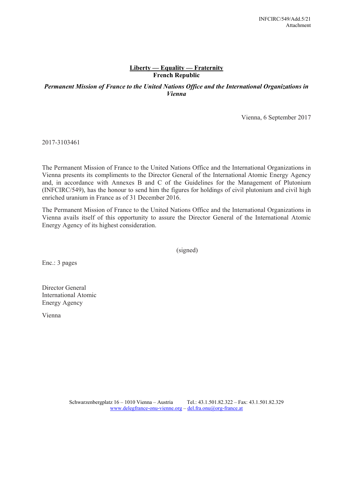#### **Liberty — Equality — Fraternity French Republic**

### *Permanent Mission of France to the United Nations Office and the International Organizations in Vienna*

Vienna, 6 September 2017

2017-3103461

The Permanent Mission of France to the United Nations Office and the International Organizations in Vienna presents its compliments to the Director General of the International Atomic Energy Agency and, in accordance with Annexes B and C of the Guidelines for the Management of Plutonium (INFCIRC/549), has the honour to send him the figures for holdings of civil plutonium and civil high enriched uranium in France as of 31 December 2016.

The Permanent Mission of France to the United Nations Office and the International Organizations in Vienna avails itself of this opportunity to assure the Director General of the International Atomic Energy Agency of its highest consideration.

(signed)

Enc.: 3 pages

Director General International Atomic Energy Agency

Vienna

Schwarzenbergplatz 16 – 1010 Vienna – Austria Tel.: 43.1.501.82.322 – Fax: 43.1.501.82.329 www.delegfrance-onu-vienne.org – del.fra.onu@org-france.at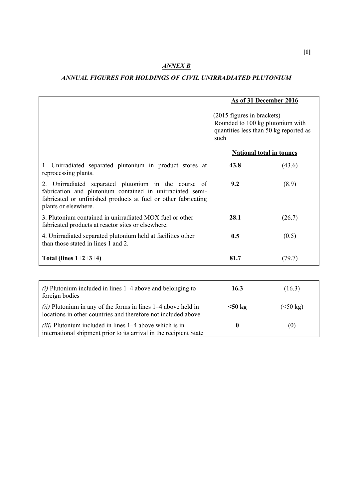## *ANNEX B*

### *ANNUAL FIGURES FOR HOLDINGS OF CIVIL UNIRRADIATED PLUTONIUM*

|                                                                                                                                                                                                             | As of 31 December 2016                                                                                           |           |  |
|-------------------------------------------------------------------------------------------------------------------------------------------------------------------------------------------------------------|------------------------------------------------------------------------------------------------------------------|-----------|--|
|                                                                                                                                                                                                             | (2015 figures in brackets)<br>Rounded to 100 kg plutonium with<br>quantities less than 50 kg reported as<br>such |           |  |
|                                                                                                                                                                                                             | <b>National total in tonnes</b>                                                                                  |           |  |
| 1. Unirradiated separated plutonium in product stores at<br>reprocessing plants.                                                                                                                            | 43.8                                                                                                             | (43.6)    |  |
| 2. Unirradiated separated plutonium in the course of<br>fabrication and plutonium contained in unirradiated semi-<br>fabricated or unfinished products at fuel or other fabricating<br>plants or elsewhere. | 9.2                                                                                                              | (8.9)     |  |
| 3. Plutonium contained in unirradiated MOX fuel or other<br>fabricated products at reactor sites or elsewhere.                                                                                              | 28.1                                                                                                             | (26.7)    |  |
| 4. Unirradiated separated plutonium held at facilities other<br>than those stated in lines 1 and 2.                                                                                                         | 0.5                                                                                                              | (0.5)     |  |
| Total (lines $1+2+3+4$ )                                                                                                                                                                                    | 81.7                                                                                                             | (79.7)    |  |
|                                                                                                                                                                                                             |                                                                                                                  |           |  |
| $(i)$ Plutonium included in lines 1–4 above and belonging to<br>foreign bodies                                                                                                                              | 16.3                                                                                                             | (16.3)    |  |
| (ii) Plutonium in any of the forms in lines $1-4$ above held in<br>locations in other countries and therefore not included above                                                                            | $50 \text{ kg}$                                                                                                  | (< 50 kg) |  |
| <i>(iii)</i> Plutonium included in lines 1–4 above which is in<br>international shipment prior to its arrival in the recipient State                                                                        | $\boldsymbol{0}$                                                                                                 | (0)       |  |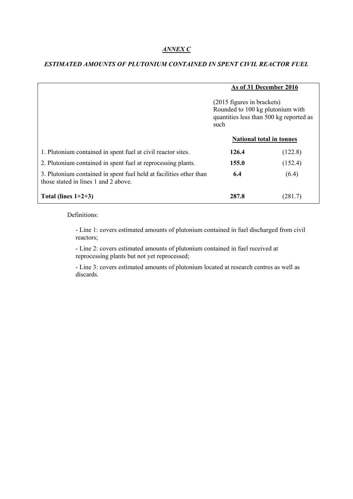#### *ANNEX C*

|                                                                                                            | As of 31 December 2016<br>(2015 figures in brackets)<br>Rounded to 100 kg plutonium with<br>quantities less than 500 kg reported as<br>such<br><b>National total in tonnes</b> |         |
|------------------------------------------------------------------------------------------------------------|--------------------------------------------------------------------------------------------------------------------------------------------------------------------------------|---------|
|                                                                                                            |                                                                                                                                                                                |         |
|                                                                                                            |                                                                                                                                                                                |         |
| 1. Plutonium contained in spent fuel at civil reactor sites.                                               | 126.4                                                                                                                                                                          | (122.8) |
| 2. Plutonium contained in spent fuel at reprocessing plants.                                               | 155.0                                                                                                                                                                          | (152.4) |
| 3. Plutonium contained in spent fuel held at facilities other than<br>those stated in lines 1 and 2 above. | 6.4                                                                                                                                                                            | (6.4)   |
| Total (lines $1+2+3$ )                                                                                     | 287.8                                                                                                                                                                          | (281.7) |

#### *ESTIMATED AMOUNTS OF PLUTONIUM CONTAINED IN SPENT CIVIL REACTOR FUEL*

Definitions:

- Line 1: covers estimated amounts of plutonium contained in fuel discharged from civil reactors;

- Line 2: covers estimated amounts of plutonium contained in fuel received at reprocessing plants but not yet reprocessed;

- Line 3: covers estimated amounts of plutonium located at research centres as well as discards.